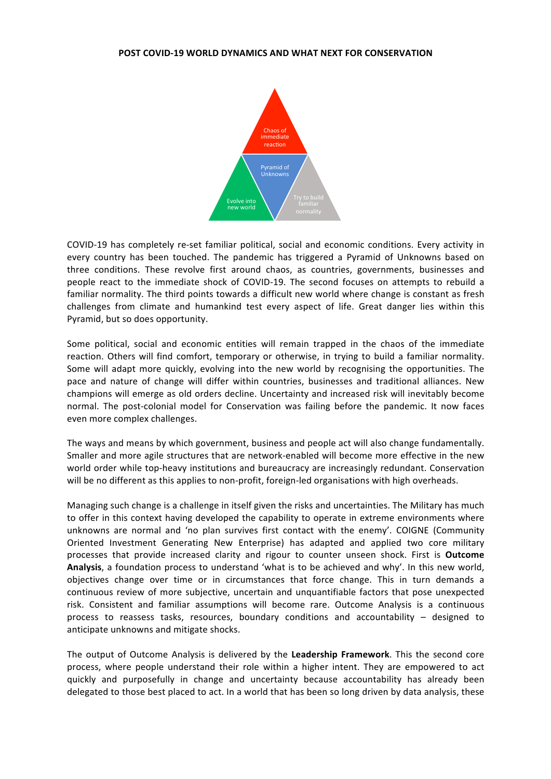

COVID-19 has completely re-set familiar political, social and economic conditions. Every activity in every country has been touched. The pandemic has triggered a Pyramid of Unknowns based on three conditions. These revolve first around chaos, as countries, governments, businesses and people react to the immediate shock of COVID-19. The second focuses on attempts to rebuild a familiar normality. The third points towards a difficult new world where change is constant as fresh challenges from climate and humankind test every aspect of life. Great danger lies within this Pyramid, but so does opportunity.

Some political, social and economic entities will remain trapped in the chaos of the immediate reaction. Others will find comfort, temporary or otherwise, in trying to build a familiar normality. Some will adapt more quickly, evolving into the new world by recognising the opportunities. The pace and nature of change will differ within countries, businesses and traditional alliances. New champions will emerge as old orders decline. Uncertainty and increased risk will inevitably become normal. The post-colonial model for Conservation was failing before the pandemic. It now faces even more complex challenges.

The ways and means by which government, business and people act will also change fundamentally. Smaller and more agile structures that are network-enabled will become more effective in the new world order while top-heavy institutions and bureaucracy are increasingly redundant. Conservation will be no different as this applies to non-profit, foreign-led organisations with high overheads.

Managing such change is a challenge in itself given the risks and uncertainties. The Military has much to offer in this context having developed the capability to operate in extreme environments where unknowns are normal and 'no plan survives first contact with the enemy'. COIGNE (Community Oriented Investment Generating New Enterprise) has adapted and applied two core military processes that provide increased clarity and rigour to counter unseen shock. First is **Outcome Analysis**, a foundation process to understand 'what is to be achieved and why'. In this new world, objectives change over time or in circumstances that force change. This in turn demands a continuous review of more subjective, uncertain and unquantifiable factors that pose unexpected risk. Consistent and familiar assumptions will become rare. Outcome Analysis is a continuous process to reassess tasks, resources, boundary conditions and accountability  $-$  designed to anticipate unknowns and mitigate shocks.

The output of Outcome Analysis is delivered by the Leadership Framework. This the second core process, where people understand their role within a higher intent. They are empowered to act quickly and purposefully in change and uncertainty because accountability has already been delegated to those best placed to act. In a world that has been so long driven by data analysis, these